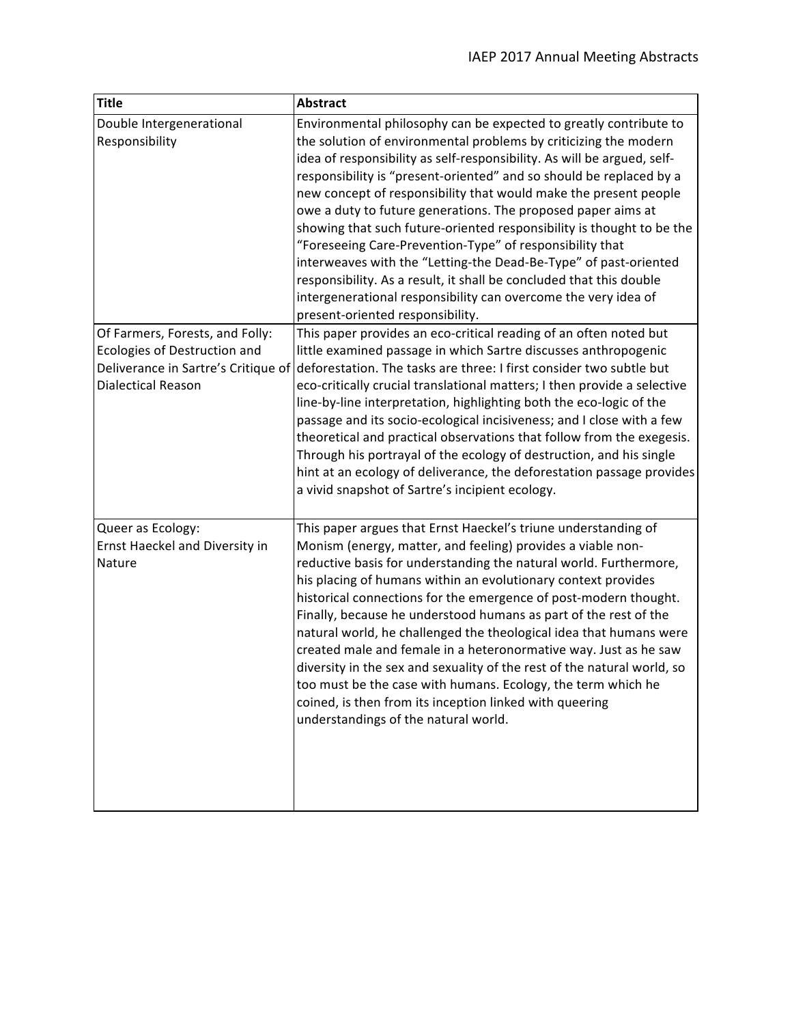| <b>Title</b>                                                                                                                        | <b>Abstract</b>                                                                                                                                                                                                                                                                                                                                                                                                                                                                                                                                                                                                                                                                                                                                                                                                   |
|-------------------------------------------------------------------------------------------------------------------------------------|-------------------------------------------------------------------------------------------------------------------------------------------------------------------------------------------------------------------------------------------------------------------------------------------------------------------------------------------------------------------------------------------------------------------------------------------------------------------------------------------------------------------------------------------------------------------------------------------------------------------------------------------------------------------------------------------------------------------------------------------------------------------------------------------------------------------|
| Double Intergenerational<br>Responsibility                                                                                          | Environmental philosophy can be expected to greatly contribute to<br>the solution of environmental problems by criticizing the modern<br>idea of responsibility as self-responsibility. As will be argued, self-<br>responsibility is "present-oriented" and so should be replaced by a<br>new concept of responsibility that would make the present people<br>owe a duty to future generations. The proposed paper aims at<br>showing that such future-oriented responsibility is thought to be the<br>"Foreseeing Care-Prevention-Type" of responsibility that<br>interweaves with the "Letting-the Dead-Be-Type" of past-oriented<br>responsibility. As a result, it shall be concluded that this double<br>intergenerational responsibility can overcome the very idea of<br>present-oriented responsibility. |
| Of Farmers, Forests, and Folly:<br>Ecologies of Destruction and<br>Deliverance in Sartre's Critique of<br><b>Dialectical Reason</b> | This paper provides an eco-critical reading of an often noted but<br>little examined passage in which Sartre discusses anthropogenic<br>deforestation. The tasks are three: I first consider two subtle but<br>eco-critically crucial translational matters; I then provide a selective<br>line-by-line interpretation, highlighting both the eco-logic of the<br>passage and its socio-ecological incisiveness; and I close with a few<br>theoretical and practical observations that follow from the exegesis.<br>Through his portrayal of the ecology of destruction, and his single<br>hint at an ecology of deliverance, the deforestation passage provides<br>a vivid snapshot of Sartre's incipient ecology.                                                                                               |
| Queer as Ecology:<br>Ernst Haeckel and Diversity in<br>Nature                                                                       | This paper argues that Ernst Haeckel's triune understanding of<br>Monism (energy, matter, and feeling) provides a viable non-<br>reductive basis for understanding the natural world. Furthermore,<br>his placing of humans within an evolutionary context provides<br>historical connections for the emergence of post-modern thought.<br>Finally, because he understood humans as part of the rest of the<br>natural world, he challenged the theological idea that humans were<br>created male and female in a heteronormative way. Just as he saw<br>diversity in the sex and sexuality of the rest of the natural world, so<br>too must be the case with humans. Ecology, the term which he<br>coined, is then from its inception linked with queering<br>understandings of the natural world.               |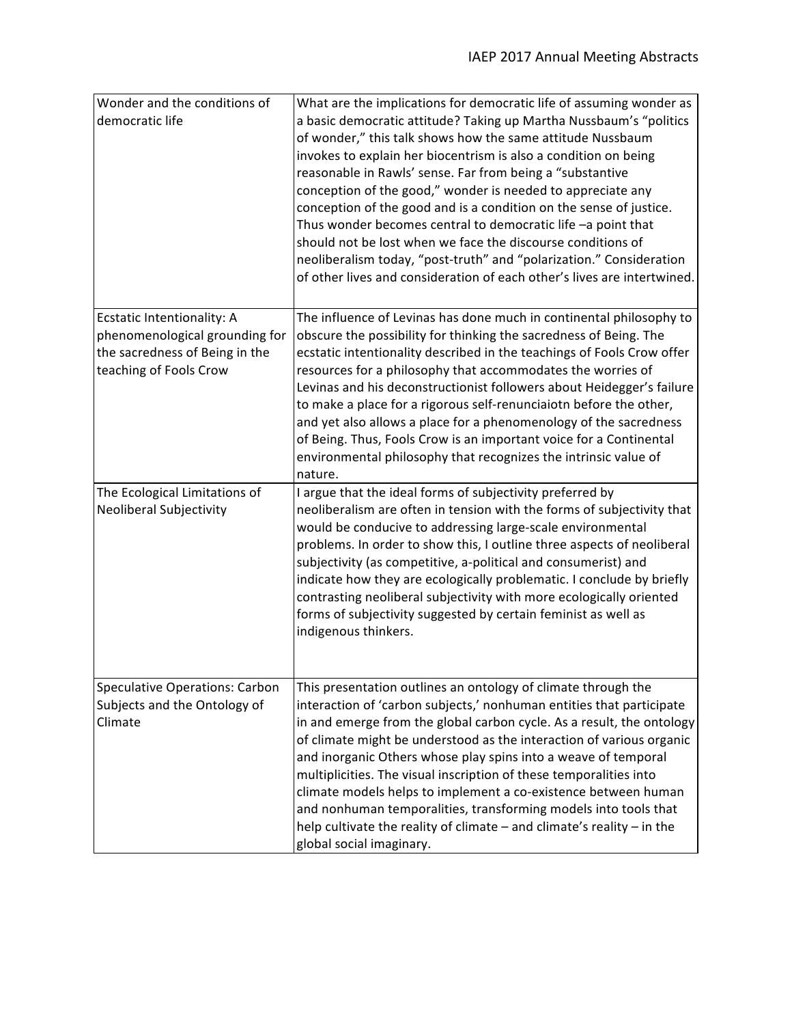| Wonder and the conditions of<br>democratic life                                                                          | What are the implications for democratic life of assuming wonder as<br>a basic democratic attitude? Taking up Martha Nussbaum's "politics<br>of wonder," this talk shows how the same attitude Nussbaum<br>invokes to explain her biocentrism is also a condition on being<br>reasonable in Rawls' sense. Far from being a "substantive<br>conception of the good," wonder is needed to appreciate any<br>conception of the good and is a condition on the sense of justice.<br>Thus wonder becomes central to democratic life -a point that<br>should not be lost when we face the discourse conditions of<br>neoliberalism today, "post-truth" and "polarization." Consideration<br>of other lives and consideration of each other's lives are intertwined. |
|--------------------------------------------------------------------------------------------------------------------------|---------------------------------------------------------------------------------------------------------------------------------------------------------------------------------------------------------------------------------------------------------------------------------------------------------------------------------------------------------------------------------------------------------------------------------------------------------------------------------------------------------------------------------------------------------------------------------------------------------------------------------------------------------------------------------------------------------------------------------------------------------------|
| Ecstatic Intentionality: A<br>phenomenological grounding for<br>the sacredness of Being in the<br>teaching of Fools Crow | The influence of Levinas has done much in continental philosophy to<br>obscure the possibility for thinking the sacredness of Being. The<br>ecstatic intentionality described in the teachings of Fools Crow offer<br>resources for a philosophy that accommodates the worries of<br>Levinas and his deconstructionist followers about Heidegger's failure<br>to make a place for a rigorous self-renunciaiotn before the other,<br>and yet also allows a place for a phenomenology of the sacredness<br>of Being. Thus, Fools Crow is an important voice for a Continental<br>environmental philosophy that recognizes the intrinsic value of<br>nature.                                                                                                     |
| The Ecological Limitations of<br>Neoliberal Subjectivity                                                                 | I argue that the ideal forms of subjectivity preferred by<br>neoliberalism are often in tension with the forms of subjectivity that<br>would be conducive to addressing large-scale environmental<br>problems. In order to show this, I outline three aspects of neoliberal<br>subjectivity (as competitive, a-political and consumerist) and<br>indicate how they are ecologically problematic. I conclude by briefly<br>contrasting neoliberal subjectivity with more ecologically oriented<br>forms of subjectivity suggested by certain feminist as well as<br>indigenous thinkers.                                                                                                                                                                       |
| <b>Speculative Operations: Carbon</b><br>Subjects and the Ontology of<br>Climate                                         | This presentation outlines an ontology of climate through the<br>interaction of 'carbon subjects,' nonhuman entities that participate<br>in and emerge from the global carbon cycle. As a result, the ontology<br>of climate might be understood as the interaction of various organic<br>and inorganic Others whose play spins into a weave of temporal<br>multiplicities. The visual inscription of these temporalities into<br>climate models helps to implement a co-existence between human<br>and nonhuman temporalities, transforming models into tools that<br>help cultivate the reality of climate $-$ and climate's reality $-$ in the<br>global social imaginary.                                                                                 |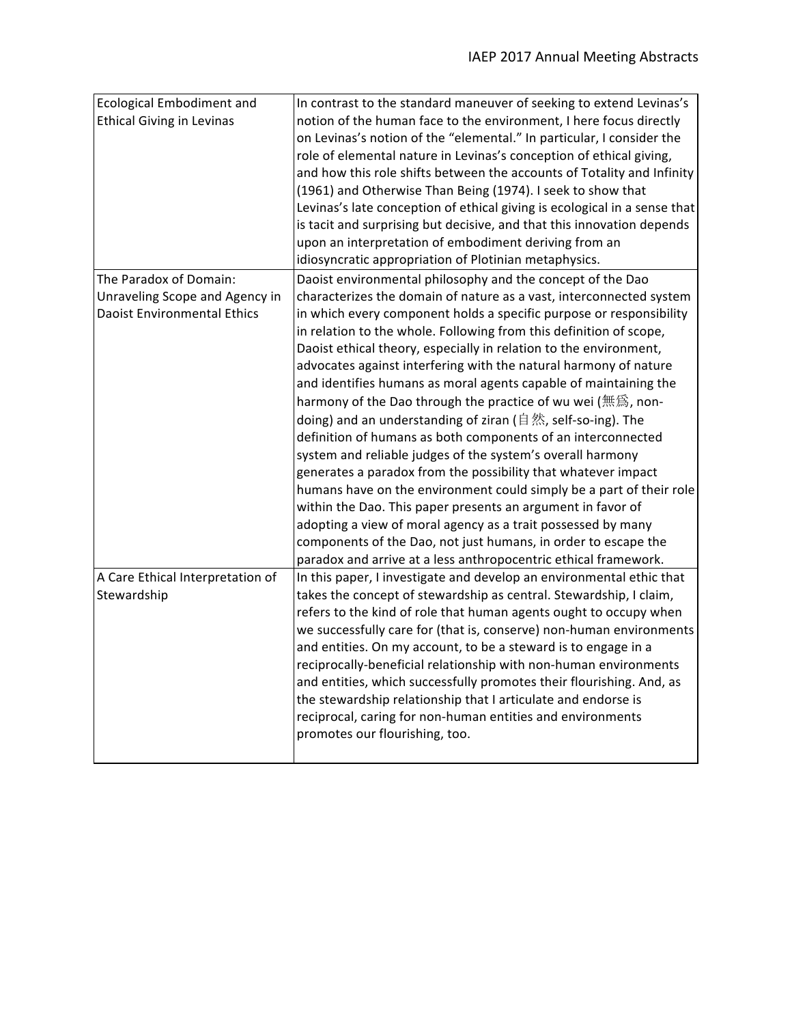| <b>Ecological Embodiment and</b>   | In contrast to the standard maneuver of seeking to extend Levinas's       |
|------------------------------------|---------------------------------------------------------------------------|
| <b>Ethical Giving in Levinas</b>   | notion of the human face to the environment, I here focus directly        |
|                                    | on Levinas's notion of the "elemental." In particular, I consider the     |
|                                    | role of elemental nature in Levinas's conception of ethical giving,       |
|                                    | and how this role shifts between the accounts of Totality and Infinity    |
|                                    | (1961) and Otherwise Than Being (1974). I seek to show that               |
|                                    | Levinas's late conception of ethical giving is ecological in a sense that |
|                                    | is tacit and surprising but decisive, and that this innovation depends    |
|                                    | upon an interpretation of embodiment deriving from an                     |
|                                    | idiosyncratic appropriation of Plotinian metaphysics.                     |
| The Paradox of Domain:             | Daoist environmental philosophy and the concept of the Dao                |
| Unraveling Scope and Agency in     | characterizes the domain of nature as a vast, interconnected system       |
| <b>Daoist Environmental Ethics</b> | in which every component holds a specific purpose or responsibility       |
|                                    | in relation to the whole. Following from this definition of scope,        |
|                                    | Daoist ethical theory, especially in relation to the environment,         |
|                                    | advocates against interfering with the natural harmony of nature          |
|                                    | and identifies humans as moral agents capable of maintaining the          |
|                                    | harmony of the Dao through the practice of wu wei (無爲, non-               |
|                                    | doing) and an understanding of ziran (自然, self-so-ing). The               |
|                                    | definition of humans as both components of an interconnected              |
|                                    | system and reliable judges of the system's overall harmony                |
|                                    | generates a paradox from the possibility that whatever impact             |
|                                    | humans have on the environment could simply be a part of their role       |
|                                    | within the Dao. This paper presents an argument in favor of               |
|                                    | adopting a view of moral agency as a trait possessed by many              |
|                                    | components of the Dao, not just humans, in order to escape the            |
|                                    | paradox and arrive at a less anthropocentric ethical framework.           |
| A Care Ethical Interpretation of   | In this paper, I investigate and develop an environmental ethic that      |
| Stewardship                        | takes the concept of stewardship as central. Stewardship, I claim,        |
|                                    | refers to the kind of role that human agents ought to occupy when         |
|                                    | we successfully care for (that is, conserve) non-human environments       |
|                                    | and entities. On my account, to be a steward is to engage in a            |
|                                    | reciprocally-beneficial relationship with non-human environments          |
|                                    | and entities, which successfully promotes their flourishing. And, as      |
|                                    | the stewardship relationship that I articulate and endorse is             |
|                                    | reciprocal, caring for non-human entities and environments                |
|                                    | promotes our flourishing, too.                                            |
|                                    |                                                                           |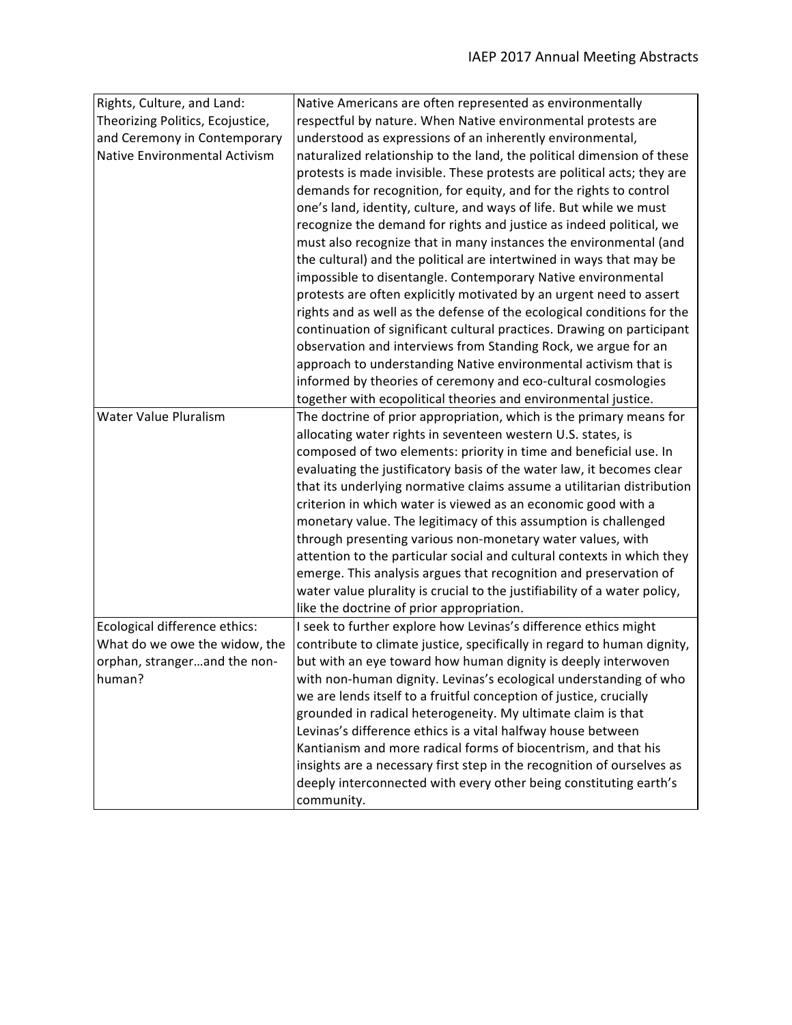| Rights, Culture, and Land:       | Native Americans are often represented as environmentally                 |
|----------------------------------|---------------------------------------------------------------------------|
| Theorizing Politics, Ecojustice, | respectful by nature. When Native environmental protests are              |
| and Ceremony in Contemporary     | understood as expressions of an inherently environmental,                 |
| Native Environmental Activism    | naturalized relationship to the land, the political dimension of these    |
|                                  | protests is made invisible. These protests are political acts; they are   |
|                                  | demands for recognition, for equity, and for the rights to control        |
|                                  | one's land, identity, culture, and ways of life. But while we must        |
|                                  | recognize the demand for rights and justice as indeed political, we       |
|                                  | must also recognize that in many instances the environmental (and         |
|                                  | the cultural) and the political are intertwined in ways that may be       |
|                                  | impossible to disentangle. Contemporary Native environmental              |
|                                  | protests are often explicitly motivated by an urgent need to assert       |
|                                  | rights and as well as the defense of the ecological conditions for the    |
|                                  | continuation of significant cultural practices. Drawing on participant    |
|                                  | observation and interviews from Standing Rock, we argue for an            |
|                                  | approach to understanding Native environmental activism that is           |
|                                  | informed by theories of ceremony and eco-cultural cosmologies             |
|                                  | together with ecopolitical theories and environmental justice.            |
| <b>Water Value Pluralism</b>     | The doctrine of prior appropriation, which is the primary means for       |
|                                  | allocating water rights in seventeen western U.S. states, is              |
|                                  | composed of two elements: priority in time and beneficial use. In         |
|                                  | evaluating the justificatory basis of the water law, it becomes clear     |
|                                  | that its underlying normative claims assume a utilitarian distribution    |
|                                  | criterion in which water is viewed as an economic good with a             |
|                                  | monetary value. The legitimacy of this assumption is challenged           |
|                                  | through presenting various non-monetary water values, with                |
|                                  | attention to the particular social and cultural contexts in which they    |
|                                  | emerge. This analysis argues that recognition and preservation of         |
|                                  | water value plurality is crucial to the justifiability of a water policy, |
|                                  | like the doctrine of prior appropriation.                                 |
| Ecological difference ethics:    | I seek to further explore how Levinas's difference ethics might           |
| What do we owe the widow, the    | contribute to climate justice, specifically in regard to human dignity,   |
| orphan, strangerand the non-     | but with an eye toward how human dignity is deeply interwoven             |
| human?                           | with non-human dignity. Levinas's ecological understanding of who         |
|                                  | we are lends itself to a fruitful conception of justice, crucially        |
|                                  | grounded in radical heterogeneity. My ultimate claim is that              |
|                                  | Levinas's difference ethics is a vital halfway house between              |
|                                  | Kantianism and more radical forms of biocentrism, and that his            |
|                                  | insights are a necessary first step in the recognition of ourselves as    |
|                                  | deeply interconnected with every other being constituting earth's         |
|                                  | community.                                                                |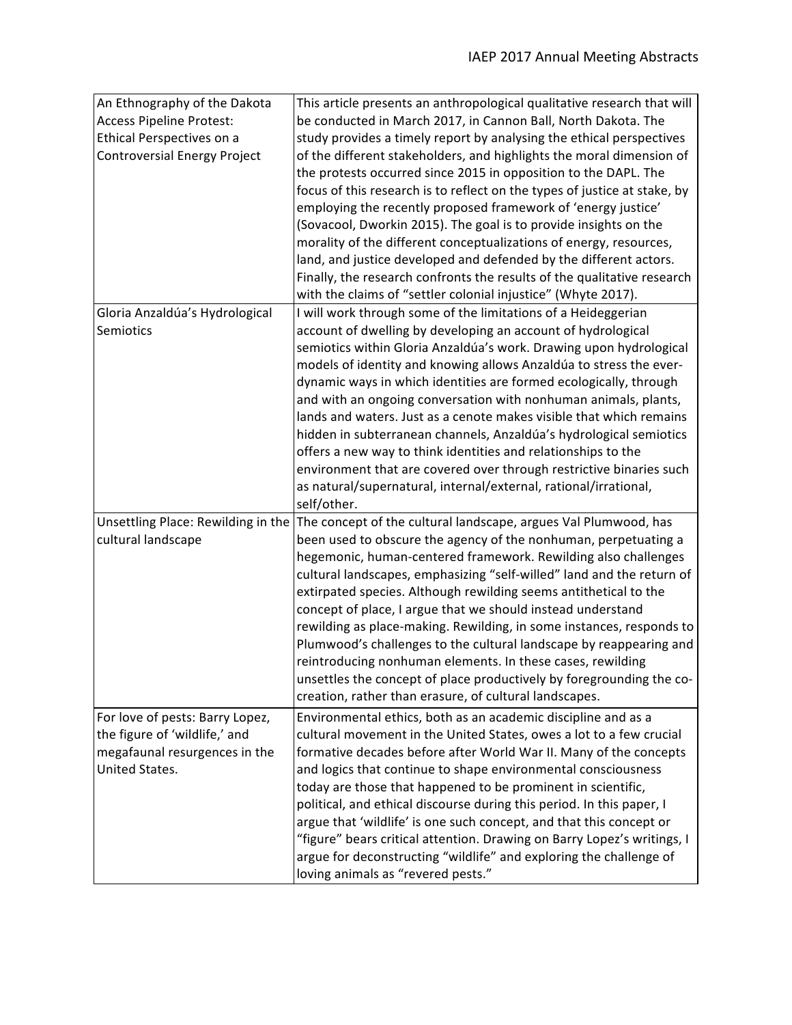| An Ethnography of the Dakota        | This article presents an anthropological qualitative research that will   |
|-------------------------------------|---------------------------------------------------------------------------|
| <b>Access Pipeline Protest:</b>     | be conducted in March 2017, in Cannon Ball, North Dakota. The             |
| Ethical Perspectives on a           | study provides a timely report by analysing the ethical perspectives      |
| <b>Controversial Energy Project</b> | of the different stakeholders, and highlights the moral dimension of      |
|                                     | the protests occurred since 2015 in opposition to the DAPL. The           |
|                                     | focus of this research is to reflect on the types of justice at stake, by |
|                                     | employing the recently proposed framework of 'energy justice'             |
|                                     | (Sovacool, Dworkin 2015). The goal is to provide insights on the          |
|                                     | morality of the different conceptualizations of energy, resources,        |
|                                     | land, and justice developed and defended by the different actors.         |
|                                     | Finally, the research confronts the results of the qualitative research   |
|                                     | with the claims of "settler colonial injustice" (Whyte 2017).             |
| Gloria Anzaldúa's Hydrological      | I will work through some of the limitations of a Heideggerian             |
| Semiotics                           | account of dwelling by developing an account of hydrological              |
|                                     | semiotics within Gloria Anzaldúa's work. Drawing upon hydrological        |
|                                     | models of identity and knowing allows Anzaldúa to stress the ever-        |
|                                     | dynamic ways in which identities are formed ecologically, through         |
|                                     | and with an ongoing conversation with nonhuman animals, plants,           |
|                                     | lands and waters. Just as a cenote makes visible that which remains       |
|                                     | hidden in subterranean channels, Anzaldúa's hydrological semiotics        |
|                                     | offers a new way to think identities and relationships to the             |
|                                     | environment that are covered over through restrictive binaries such       |
|                                     | as natural/supernatural, internal/external, rational/irrational,          |
|                                     | self/other.                                                               |
| Unsettling Place: Rewilding in the  | The concept of the cultural landscape, argues Val Plumwood, has           |
| cultural landscape                  | been used to obscure the agency of the nonhuman, perpetuating a           |
|                                     | hegemonic, human-centered framework. Rewilding also challenges            |
|                                     | cultural landscapes, emphasizing "self-willed" land and the return of     |
|                                     | extirpated species. Although rewilding seems antithetical to the          |
|                                     | concept of place, I argue that we should instead understand               |
|                                     | rewilding as place-making. Rewilding, in some instances, responds to      |
|                                     | Plumwood's challenges to the cultural landscape by reappearing and        |
|                                     | reintroducing nonhuman elements. In these cases, rewilding                |
|                                     | unsettles the concept of place productively by foregrounding the co-      |
|                                     | creation, rather than erasure, of cultural landscapes.                    |
| For love of pests: Barry Lopez,     | Environmental ethics, both as an academic discipline and as a             |
| the figure of 'wildlife,' and       | cultural movement in the United States, owes a lot to a few crucial       |
| megafaunal resurgences in the       | formative decades before after World War II. Many of the concepts         |
| United States.                      | and logics that continue to shape environmental consciousness             |
|                                     | today are those that happened to be prominent in scientific,              |
|                                     | political, and ethical discourse during this period. In this paper, I     |
|                                     | argue that 'wildlife' is one such concept, and that this concept or       |
|                                     | "figure" bears critical attention. Drawing on Barry Lopez's writings, I   |
|                                     | argue for deconstructing "wildlife" and exploring the challenge of        |
|                                     | loving animals as "revered pests."                                        |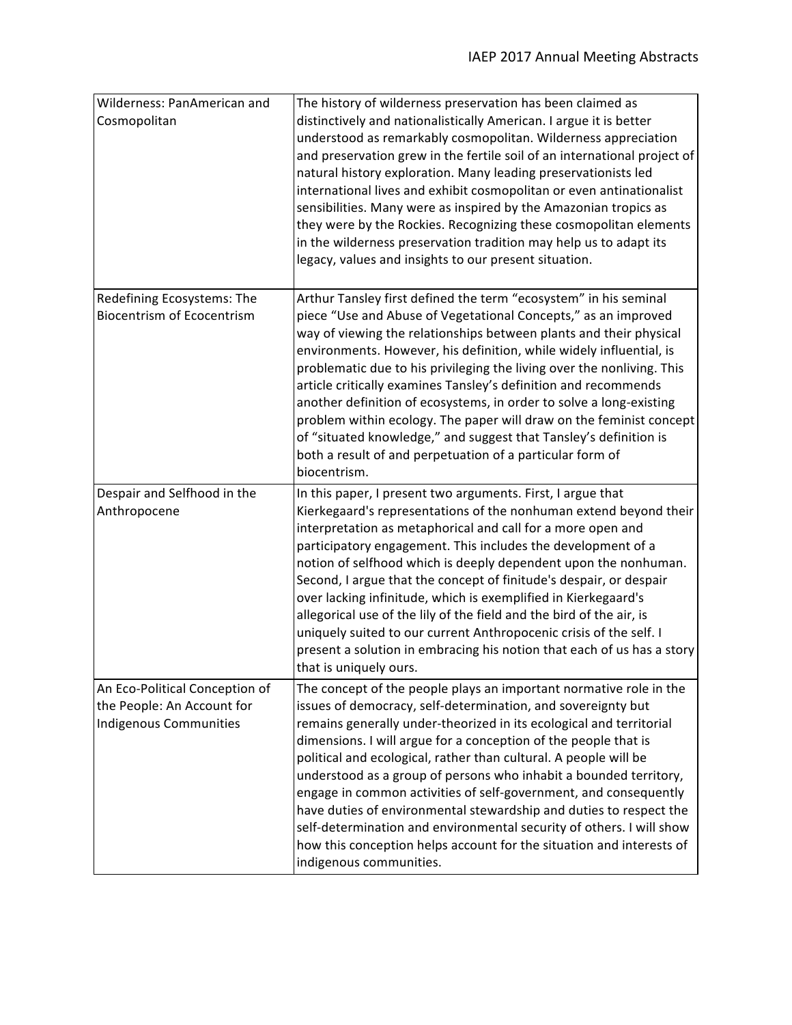| Wilderness: PanAmerican and<br>Cosmopolitan                                            | The history of wilderness preservation has been claimed as<br>distinctively and nationalistically American. I argue it is better<br>understood as remarkably cosmopolitan. Wilderness appreciation<br>and preservation grew in the fertile soil of an international project of<br>natural history exploration. Many leading preservationists led<br>international lives and exhibit cosmopolitan or even antinationalist<br>sensibilities. Many were as inspired by the Amazonian tropics as<br>they were by the Rockies. Recognizing these cosmopolitan elements<br>in the wilderness preservation tradition may help us to adapt its<br>legacy, values and insights to our present situation.                                            |
|----------------------------------------------------------------------------------------|--------------------------------------------------------------------------------------------------------------------------------------------------------------------------------------------------------------------------------------------------------------------------------------------------------------------------------------------------------------------------------------------------------------------------------------------------------------------------------------------------------------------------------------------------------------------------------------------------------------------------------------------------------------------------------------------------------------------------------------------|
| Redefining Ecosystems: The<br><b>Biocentrism of Ecocentrism</b>                        | Arthur Tansley first defined the term "ecosystem" in his seminal<br>piece "Use and Abuse of Vegetational Concepts," as an improved<br>way of viewing the relationships between plants and their physical<br>environments. However, his definition, while widely influential, is<br>problematic due to his privileging the living over the nonliving. This<br>article critically examines Tansley's definition and recommends<br>another definition of ecosystems, in order to solve a long-existing<br>problem within ecology. The paper will draw on the feminist concept<br>of "situated knowledge," and suggest that Tansley's definition is<br>both a result of and perpetuation of a particular form of<br>biocentrism.               |
| Despair and Selfhood in the<br>Anthropocene                                            | In this paper, I present two arguments. First, I argue that<br>Kierkegaard's representations of the nonhuman extend beyond their<br>interpretation as metaphorical and call for a more open and<br>participatory engagement. This includes the development of a<br>notion of selfhood which is deeply dependent upon the nonhuman.<br>Second, I argue that the concept of finitude's despair, or despair<br>over lacking infinitude, which is exemplified in Kierkegaard's<br>allegorical use of the lily of the field and the bird of the air, is<br>uniquely suited to our current Anthropocenic crisis of the self. I<br>present a solution in embracing his notion that each of us has a story<br>that is uniquely ours.               |
| An Eco-Political Conception of<br>the People: An Account for<br>Indigenous Communities | The concept of the people plays an important normative role in the<br>issues of democracy, self-determination, and sovereignty but<br>remains generally under-theorized in its ecological and territorial<br>dimensions. I will argue for a conception of the people that is<br>political and ecological, rather than cultural. A people will be<br>understood as a group of persons who inhabit a bounded territory,<br>engage in common activities of self-government, and consequently<br>have duties of environmental stewardship and duties to respect the<br>self-determination and environmental security of others. I will show<br>how this conception helps account for the situation and interests of<br>indigenous communities. |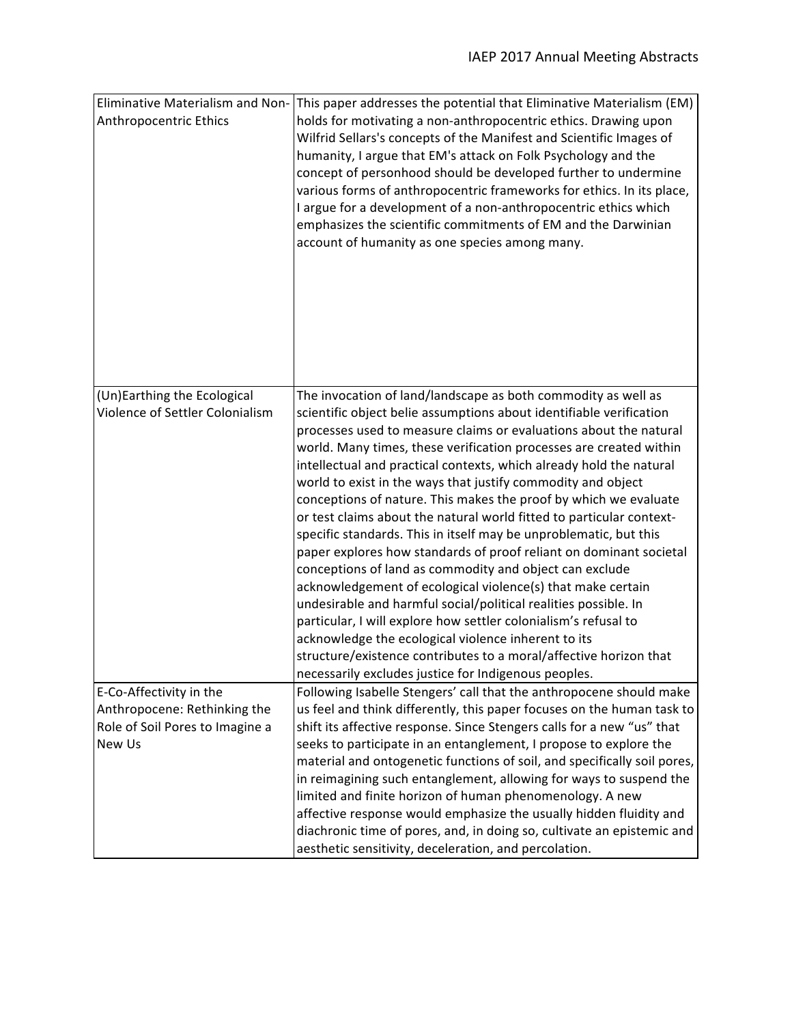| <b>Eliminative Materialism and Non-</b><br>Anthropocentric Ethics | This paper addresses the potential that Eliminative Materialism (EM)<br>holds for motivating a non-anthropocentric ethics. Drawing upon<br>Wilfrid Sellars's concepts of the Manifest and Scientific Images of<br>humanity, I argue that EM's attack on Folk Psychology and the<br>concept of personhood should be developed further to undermine<br>various forms of anthropocentric frameworks for ethics. In its place,<br>I argue for a development of a non-anthropocentric ethics which<br>emphasizes the scientific commitments of EM and the Darwinian<br>account of humanity as one species among many. |
|-------------------------------------------------------------------|------------------------------------------------------------------------------------------------------------------------------------------------------------------------------------------------------------------------------------------------------------------------------------------------------------------------------------------------------------------------------------------------------------------------------------------------------------------------------------------------------------------------------------------------------------------------------------------------------------------|
| (Un)Earthing the Ecological<br>Violence of Settler Colonialism    | The invocation of land/landscape as both commodity as well as<br>scientific object belie assumptions about identifiable verification                                                                                                                                                                                                                                                                                                                                                                                                                                                                             |
|                                                                   | processes used to measure claims or evaluations about the natural<br>world. Many times, these verification processes are created within                                                                                                                                                                                                                                                                                                                                                                                                                                                                          |
|                                                                   | intellectual and practical contexts, which already hold the natural<br>world to exist in the ways that justify commodity and object                                                                                                                                                                                                                                                                                                                                                                                                                                                                              |
|                                                                   | conceptions of nature. This makes the proof by which we evaluate<br>or test claims about the natural world fitted to particular context-                                                                                                                                                                                                                                                                                                                                                                                                                                                                         |
|                                                                   | specific standards. This in itself may be unproblematic, but this<br>paper explores how standards of proof reliant on dominant societal                                                                                                                                                                                                                                                                                                                                                                                                                                                                          |
|                                                                   | conceptions of land as commodity and object can exclude<br>acknowledgement of ecological violence(s) that make certain                                                                                                                                                                                                                                                                                                                                                                                                                                                                                           |
|                                                                   | undesirable and harmful social/political realities possible. In                                                                                                                                                                                                                                                                                                                                                                                                                                                                                                                                                  |
|                                                                   | particular, I will explore how settler colonialism's refusal to<br>acknowledge the ecological violence inherent to its                                                                                                                                                                                                                                                                                                                                                                                                                                                                                           |
|                                                                   | structure/existence contributes to a moral/affective horizon that                                                                                                                                                                                                                                                                                                                                                                                                                                                                                                                                                |
|                                                                   | necessarily excludes justice for Indigenous peoples.                                                                                                                                                                                                                                                                                                                                                                                                                                                                                                                                                             |
| E-Co-Affectivity in the                                           | Following Isabelle Stengers' call that the anthropocene should make                                                                                                                                                                                                                                                                                                                                                                                                                                                                                                                                              |
| Anthropocene: Rethinking the                                      | us feel and think differently, this paper focuses on the human task to                                                                                                                                                                                                                                                                                                                                                                                                                                                                                                                                           |
| Role of Soil Pores to Imagine a                                   | shift its affective response. Since Stengers calls for a new "us" that                                                                                                                                                                                                                                                                                                                                                                                                                                                                                                                                           |
| New Us                                                            | seeks to participate in an entanglement, I propose to explore the<br>material and ontogenetic functions of soil, and specifically soil pores,                                                                                                                                                                                                                                                                                                                                                                                                                                                                    |
|                                                                   | in reimagining such entanglement, allowing for ways to suspend the                                                                                                                                                                                                                                                                                                                                                                                                                                                                                                                                               |
|                                                                   | limited and finite horizon of human phenomenology. A new                                                                                                                                                                                                                                                                                                                                                                                                                                                                                                                                                         |
|                                                                   | affective response would emphasize the usually hidden fluidity and                                                                                                                                                                                                                                                                                                                                                                                                                                                                                                                                               |
|                                                                   | diachronic time of pores, and, in doing so, cultivate an epistemic and                                                                                                                                                                                                                                                                                                                                                                                                                                                                                                                                           |
|                                                                   | aesthetic sensitivity, deceleration, and percolation.                                                                                                                                                                                                                                                                                                                                                                                                                                                                                                                                                            |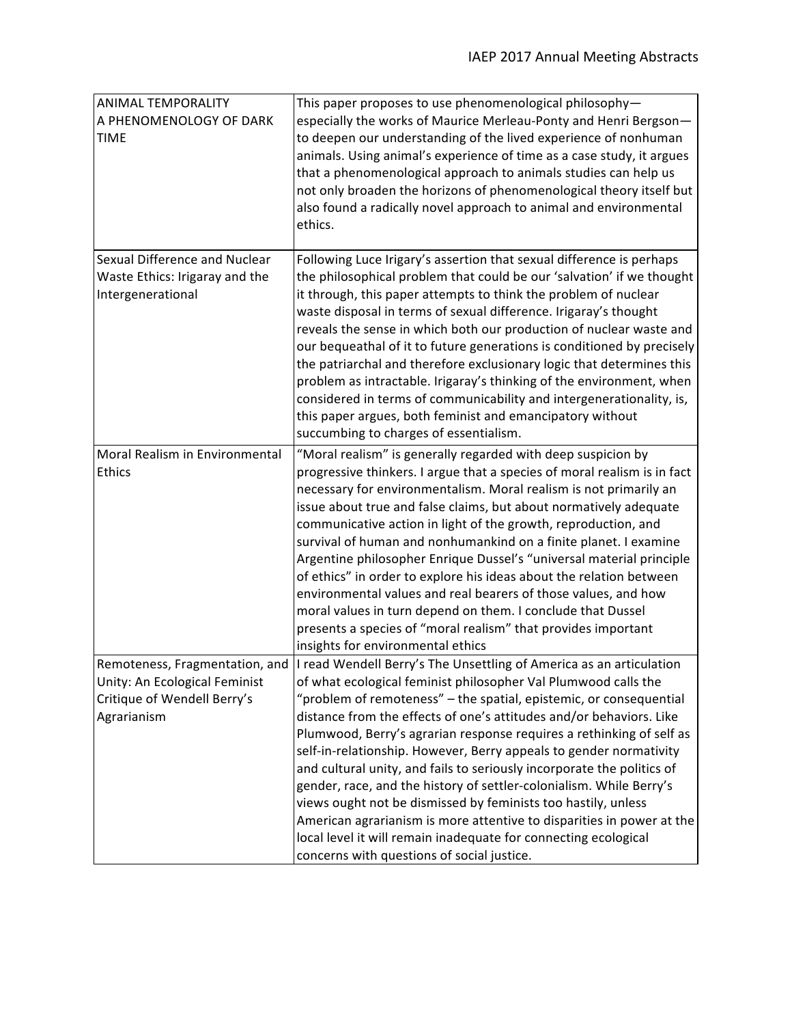| ANIMAL TEMPORALITY<br>A PHENOMENOLOGY OF DARK<br><b>TIME</b>                                                  | This paper proposes to use phenomenological philosophy-<br>especially the works of Maurice Merleau-Ponty and Henri Bergson-<br>to deepen our understanding of the lived experience of nonhuman<br>animals. Using animal's experience of time as a case study, it argues<br>that a phenomenological approach to animals studies can help us<br>not only broaden the horizons of phenomenological theory itself but<br>also found a radically novel approach to animal and environmental<br>ethics.                                                                                                                                                                                                                                                                                                                                            |
|---------------------------------------------------------------------------------------------------------------|----------------------------------------------------------------------------------------------------------------------------------------------------------------------------------------------------------------------------------------------------------------------------------------------------------------------------------------------------------------------------------------------------------------------------------------------------------------------------------------------------------------------------------------------------------------------------------------------------------------------------------------------------------------------------------------------------------------------------------------------------------------------------------------------------------------------------------------------|
| Sexual Difference and Nuclear<br>Waste Ethics: Irigaray and the<br>Intergenerational                          | Following Luce Irigary's assertion that sexual difference is perhaps<br>the philosophical problem that could be our 'salvation' if we thought<br>it through, this paper attempts to think the problem of nuclear<br>waste disposal in terms of sexual difference. Irigaray's thought<br>reveals the sense in which both our production of nuclear waste and<br>our bequeathal of it to future generations is conditioned by precisely<br>the patriarchal and therefore exclusionary logic that determines this<br>problem as intractable. Irigaray's thinking of the environment, when<br>considered in terms of communicability and intergenerationality, is,<br>this paper argues, both feminist and emancipatory without<br>succumbing to charges of essentialism.                                                                        |
| Moral Realism in Environmental<br><b>Ethics</b>                                                               | "Moral realism" is generally regarded with deep suspicion by<br>progressive thinkers. I argue that a species of moral realism is in fact<br>necessary for environmentalism. Moral realism is not primarily an<br>issue about true and false claims, but about normatively adequate<br>communicative action in light of the growth, reproduction, and<br>survival of human and nonhumankind on a finite planet. I examine<br>Argentine philosopher Enrique Dussel's "universal material principle<br>of ethics" in order to explore his ideas about the relation between<br>environmental values and real bearers of those values, and how<br>moral values in turn depend on them. I conclude that Dussel<br>presents a species of "moral realism" that provides important<br>insights for environmental ethics                               |
| Remoteness, Fragmentation, and<br>Unity: An Ecological Feminist<br>Critique of Wendell Berry's<br>Agrarianism | I read Wendell Berry's The Unsettling of America as an articulation<br>of what ecological feminist philosopher Val Plumwood calls the<br>"problem of remoteness" - the spatial, epistemic, or consequential<br>distance from the effects of one's attitudes and/or behaviors. Like<br>Plumwood, Berry's agrarian response requires a rethinking of self as<br>self-in-relationship. However, Berry appeals to gender normativity<br>and cultural unity, and fails to seriously incorporate the politics of<br>gender, race, and the history of settler-colonialism. While Berry's<br>views ought not be dismissed by feminists too hastily, unless<br>American agrarianism is more attentive to disparities in power at the<br>local level it will remain inadequate for connecting ecological<br>concerns with questions of social justice. |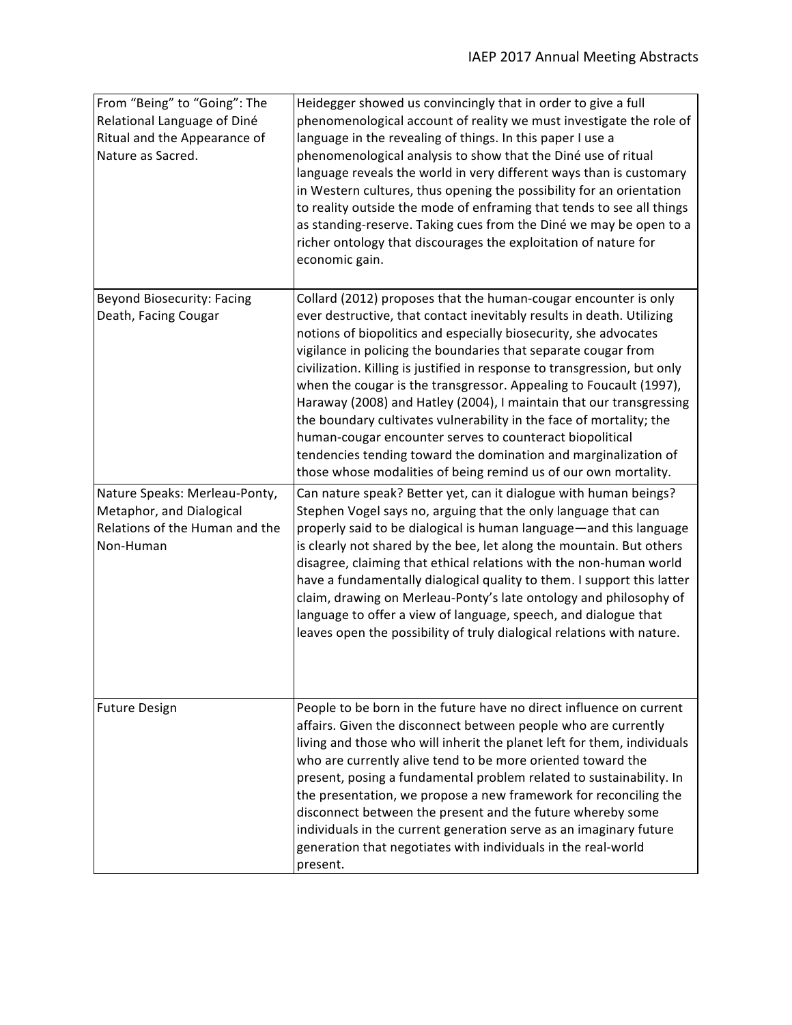| From "Being" to "Going": The<br>Relational Language of Diné<br>Ritual and the Appearance of<br>Nature as Sacred. | Heidegger showed us convincingly that in order to give a full<br>phenomenological account of reality we must investigate the role of<br>language in the revealing of things. In this paper I use a<br>phenomenological analysis to show that the Diné use of ritual<br>language reveals the world in very different ways than is customary<br>in Western cultures, thus opening the possibility for an orientation<br>to reality outside the mode of enframing that tends to see all things<br>as standing-reserve. Taking cues from the Diné we may be open to a<br>richer ontology that discourages the exploitation of nature for<br>economic gain.                                                                                                                            |
|------------------------------------------------------------------------------------------------------------------|-----------------------------------------------------------------------------------------------------------------------------------------------------------------------------------------------------------------------------------------------------------------------------------------------------------------------------------------------------------------------------------------------------------------------------------------------------------------------------------------------------------------------------------------------------------------------------------------------------------------------------------------------------------------------------------------------------------------------------------------------------------------------------------|
| <b>Beyond Biosecurity: Facing</b><br>Death, Facing Cougar                                                        | Collard (2012) proposes that the human-cougar encounter is only<br>ever destructive, that contact inevitably results in death. Utilizing<br>notions of biopolitics and especially biosecurity, she advocates<br>vigilance in policing the boundaries that separate cougar from<br>civilization. Killing is justified in response to transgression, but only<br>when the cougar is the transgressor. Appealing to Foucault (1997),<br>Haraway (2008) and Hatley (2004), I maintain that our transgressing<br>the boundary cultivates vulnerability in the face of mortality; the<br>human-cougar encounter serves to counteract biopolitical<br>tendencies tending toward the domination and marginalization of<br>those whose modalities of being remind us of our own mortality. |
| Nature Speaks: Merleau-Ponty,<br>Metaphor, and Dialogical<br>Relations of the Human and the<br>Non-Human         | Can nature speak? Better yet, can it dialogue with human beings?<br>Stephen Vogel says no, arguing that the only language that can<br>properly said to be dialogical is human language-and this language<br>is clearly not shared by the bee, let along the mountain. But others<br>disagree, claiming that ethical relations with the non-human world<br>have a fundamentally dialogical quality to them. I support this latter<br>claim, drawing on Merleau-Ponty's late ontology and philosophy of<br>language to offer a view of language, speech, and dialogue that<br>leaves open the possibility of truly dialogical relations with nature.                                                                                                                                |
| <b>Future Design</b>                                                                                             | People to be born in the future have no direct influence on current<br>affairs. Given the disconnect between people who are currently<br>living and those who will inherit the planet left for them, individuals<br>who are currently alive tend to be more oriented toward the<br>present, posing a fundamental problem related to sustainability. In<br>the presentation, we propose a new framework for reconciling the<br>disconnect between the present and the future whereby some<br>individuals in the current generation serve as an imaginary future<br>generation that negotiates with individuals in the real-world<br>present.                                                                                                                                       |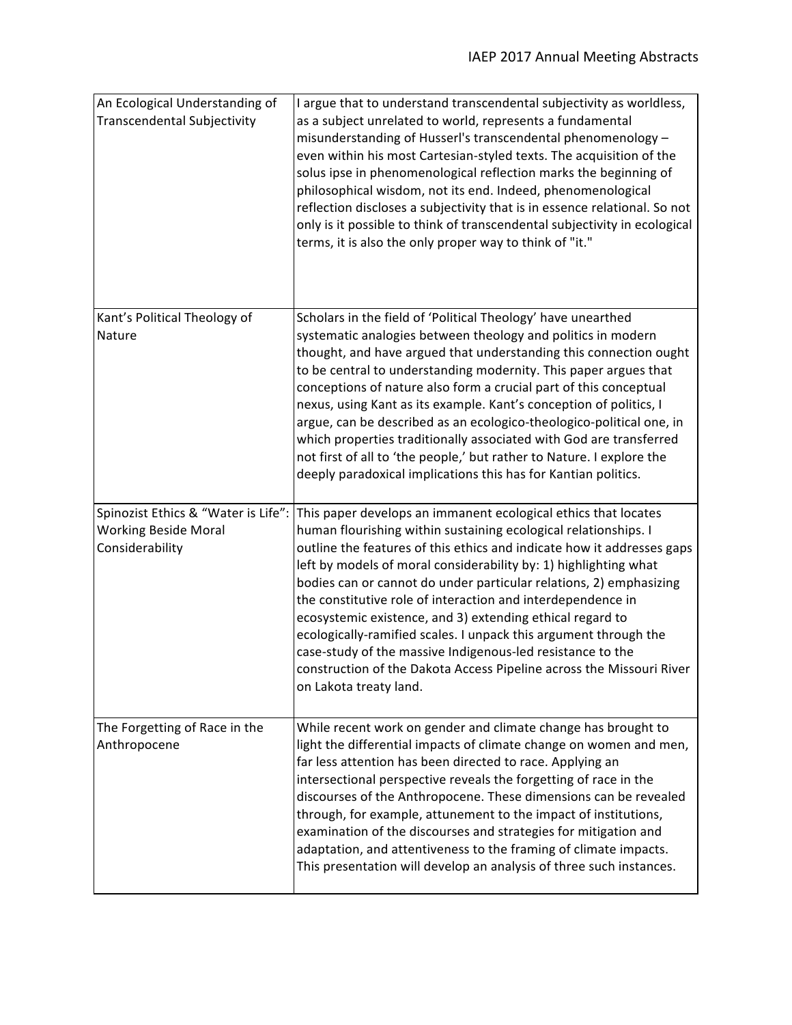| An Ecological Understanding of<br><b>Transcendental Subjectivity</b>                  | I argue that to understand transcendental subjectivity as worldless,<br>as a subject unrelated to world, represents a fundamental<br>misunderstanding of Husserl's transcendental phenomenology -<br>even within his most Cartesian-styled texts. The acquisition of the<br>solus ipse in phenomenological reflection marks the beginning of<br>philosophical wisdom, not its end. Indeed, phenomenological<br>reflection discloses a subjectivity that is in essence relational. So not<br>only is it possible to think of transcendental subjectivity in ecological<br>terms, it is also the only proper way to think of "it."                                                                                      |
|---------------------------------------------------------------------------------------|-----------------------------------------------------------------------------------------------------------------------------------------------------------------------------------------------------------------------------------------------------------------------------------------------------------------------------------------------------------------------------------------------------------------------------------------------------------------------------------------------------------------------------------------------------------------------------------------------------------------------------------------------------------------------------------------------------------------------|
| Kant's Political Theology of<br>Nature                                                | Scholars in the field of 'Political Theology' have unearthed<br>systematic analogies between theology and politics in modern<br>thought, and have argued that understanding this connection ought<br>to be central to understanding modernity. This paper argues that<br>conceptions of nature also form a crucial part of this conceptual<br>nexus, using Kant as its example. Kant's conception of politics, I<br>argue, can be described as an ecologico-theologico-political one, in<br>which properties traditionally associated with God are transferred<br>not first of all to 'the people,' but rather to Nature. I explore the<br>deeply paradoxical implications this has for Kantian politics.             |
| Spinozist Ethics & "Water is Life":<br><b>Working Beside Moral</b><br>Considerability | This paper develops an immanent ecological ethics that locates<br>human flourishing within sustaining ecological relationships. I<br>outline the features of this ethics and indicate how it addresses gaps<br>left by models of moral considerability by: 1) highlighting what<br>bodies can or cannot do under particular relations, 2) emphasizing<br>the constitutive role of interaction and interdependence in<br>ecosystemic existence, and 3) extending ethical regard to<br>ecologically-ramified scales. I unpack this argument through the<br>case-study of the massive Indigenous-led resistance to the<br>construction of the Dakota Access Pipeline across the Missouri River<br>on Lakota treaty land. |
| The Forgetting of Race in the<br>Anthropocene                                         | While recent work on gender and climate change has brought to<br>light the differential impacts of climate change on women and men,<br>far less attention has been directed to race. Applying an<br>intersectional perspective reveals the forgetting of race in the<br>discourses of the Anthropocene. These dimensions can be revealed<br>through, for example, attunement to the impact of institutions,<br>examination of the discourses and strategies for mitigation and<br>adaptation, and attentiveness to the framing of climate impacts.<br>This presentation will develop an analysis of three such instances.                                                                                             |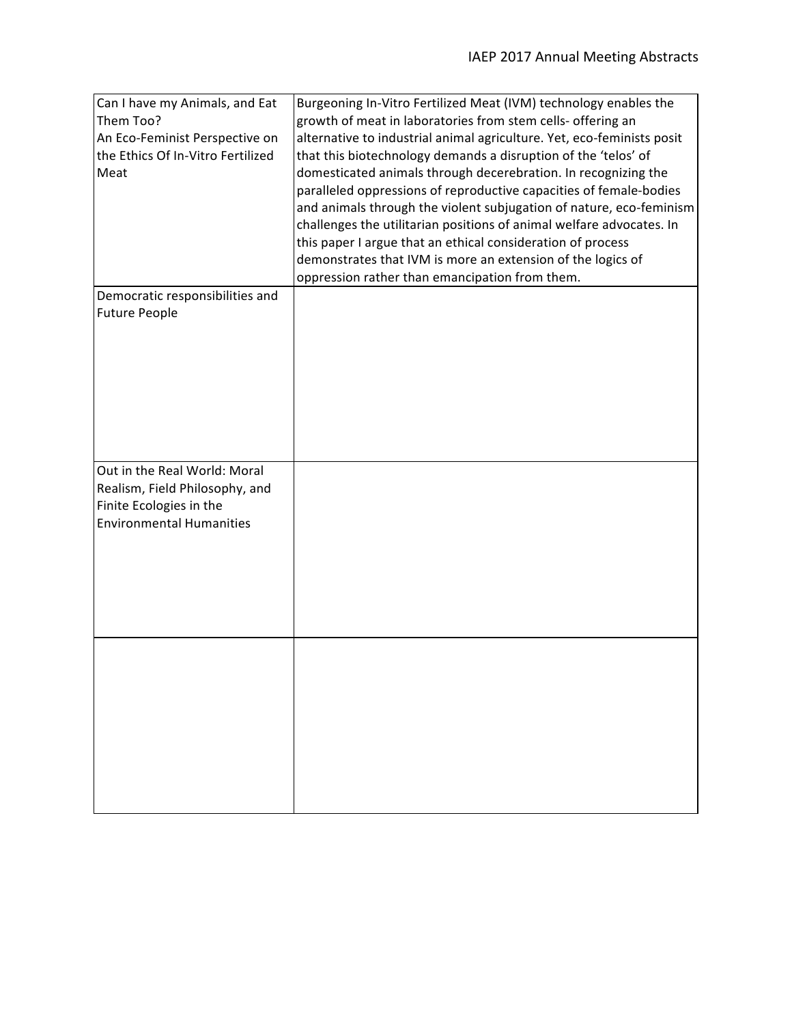| Can I have my Animals, and Eat    | Burgeoning In-Vitro Fertilized Meat (IVM) technology enables the       |
|-----------------------------------|------------------------------------------------------------------------|
| Them Too?                         | growth of meat in laboratories from stem cells- offering an            |
| An Eco-Feminist Perspective on    | alternative to industrial animal agriculture. Yet, eco-feminists posit |
| the Ethics Of In-Vitro Fertilized | that this biotechnology demands a disruption of the 'telos' of         |
| Meat                              | domesticated animals through decerebration. In recognizing the         |
|                                   | paralleled oppressions of reproductive capacities of female-bodies     |
|                                   | and animals through the violent subjugation of nature, eco-feminism    |
|                                   | challenges the utilitarian positions of animal welfare advocates. In   |
|                                   | this paper I argue that an ethical consideration of process            |
|                                   | demonstrates that IVM is more an extension of the logics of            |
|                                   | oppression rather than emancipation from them.                         |
| Democratic responsibilities and   |                                                                        |
| <b>Future People</b>              |                                                                        |
|                                   |                                                                        |
|                                   |                                                                        |
|                                   |                                                                        |
|                                   |                                                                        |
|                                   |                                                                        |
|                                   |                                                                        |
|                                   |                                                                        |
|                                   |                                                                        |
|                                   |                                                                        |
| Out in the Real World: Moral      |                                                                        |
| Realism, Field Philosophy, and    |                                                                        |
| Finite Ecologies in the           |                                                                        |
| <b>Environmental Humanities</b>   |                                                                        |
|                                   |                                                                        |
|                                   |                                                                        |
|                                   |                                                                        |
|                                   |                                                                        |
|                                   |                                                                        |
|                                   |                                                                        |
|                                   |                                                                        |
|                                   |                                                                        |
|                                   |                                                                        |
|                                   |                                                                        |
|                                   |                                                                        |
|                                   |                                                                        |
|                                   |                                                                        |
|                                   |                                                                        |
|                                   |                                                                        |
|                                   |                                                                        |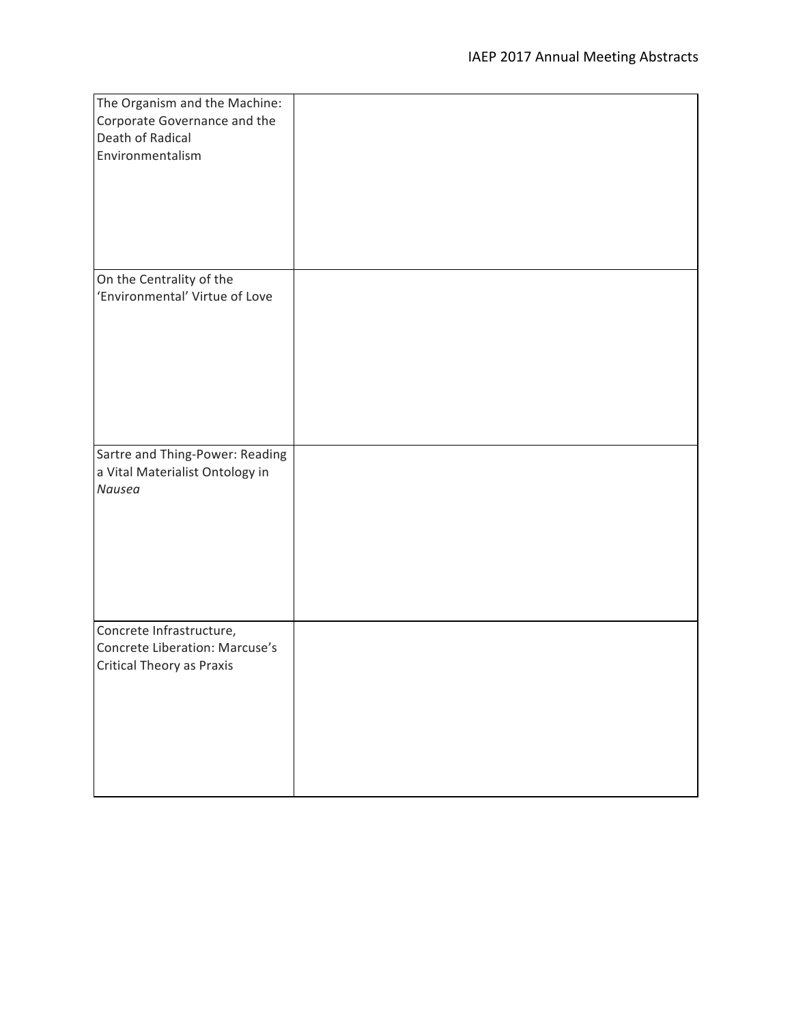| The Organism and the Machine:    |  |
|----------------------------------|--|
| Corporate Governance and the     |  |
| Death of Radical                 |  |
| Environmentalism                 |  |
|                                  |  |
|                                  |  |
|                                  |  |
|                                  |  |
|                                  |  |
|                                  |  |
|                                  |  |
| On the Centrality of the         |  |
| 'Environmental' Virtue of Love   |  |
|                                  |  |
|                                  |  |
|                                  |  |
|                                  |  |
|                                  |  |
|                                  |  |
|                                  |  |
|                                  |  |
| Sartre and Thing-Power: Reading  |  |
| a Vital Materialist Ontology in  |  |
| Nausea                           |  |
|                                  |  |
|                                  |  |
|                                  |  |
|                                  |  |
|                                  |  |
|                                  |  |
|                                  |  |
| Concrete Infrastructure,         |  |
| Concrete Liberation: Marcuse's   |  |
| <b>Critical Theory as Praxis</b> |  |
|                                  |  |
|                                  |  |
|                                  |  |
|                                  |  |
|                                  |  |
|                                  |  |
|                                  |  |